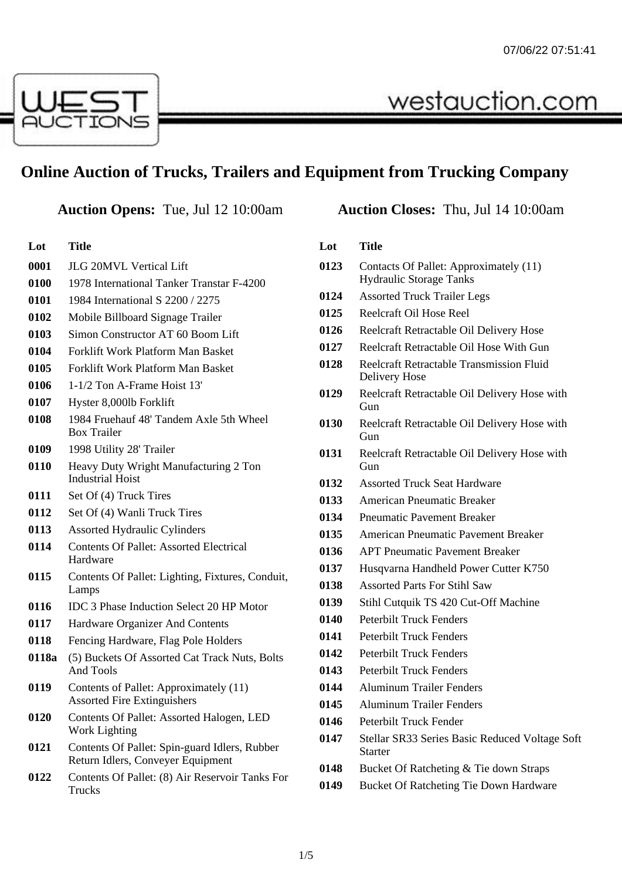

# **Online Auction of Trucks, Trailers and Equipment from Trucking Company**

**Lot Title** JLG 20MVL Vertical Lift 1978 International Tanker Transtar F-4200 1984 International S 2200 / 2275 Mobile Billboard Signage Trailer Simon Constructor AT 60 Boom Lift Forklift Work Platform Man Basket Forklift Work Platform Man Basket 1-1/2 Ton A-Frame Hoist 13' Hyster 8,000lb Forklift 1984 Fruehauf 48' Tandem Axle 5th Wheel Box Trailer 1998 Utility 28' Trailer Heavy Duty Wright Manufacturing 2 Ton Industrial Hoist Set Of (4) Truck Tires Set Of (4) Wanli Truck Tires Assorted Hydraulic Cylinders Contents Of Pallet: Assorted Electrical Hardware Contents Of Pallet: Lighting, Fixtures, Conduit, Lamps IDC 3 Phase Induction Select 20 HP Motor Hardware Organizer And Contents Fencing Hardware, Flag Pole Holders **0118a** (5) Buckets Of Assorted Cat Track Nuts, Bolts And Tools Contents of Pallet: Approximately (11) Assorted Fire Extinguishers Contents Of Pallet: Assorted Halogen, LED Work Lighting Contents Of Pallet: Spin-guard Idlers, Rubber Return Idlers, Conveyer Equipment Contents Of Pallet: (8) Air Reservoir Tanks For Trucks

# **Auction Opens:** Tue, Jul 12 10:00am **Auction Closes:** Thu, Jul 14 10:00am

westauction.com

## **Lot Title**

- Contacts Of Pallet: Approximately (11) Hydraulic Storage Tanks
- Assorted Truck Trailer Legs
- Reelcraft Oil Hose Reel
- Reelcraft Retractable Oil Delivery Hose
- Reelcraft Retractable Oil Hose With Gun
- Reelcraft Retractable Transmission Fluid Delivery Hose
- Reelcraft Retractable Oil Delivery Hose with Gun
- Reelcraft Retractable Oil Delivery Hose with Gun
- Reelcraft Retractable Oil Delivery Hose with Gun
- Assorted Truck Seat Hardware
- American Pneumatic Breaker
- Pneumatic Pavement Breaker
- American Pneumatic Pavement Breaker
- APT Pneumatic Pavement Breaker
- Husqvarna Handheld Power Cutter K750
- Assorted Parts For Stihl Saw
- Stihl Cutquik TS 420 Cut-Off Machine
- Peterbilt Truck Fenders
- Peterbilt Truck Fenders
- Peterbilt Truck Fenders
- Peterbilt Truck Fenders
- Aluminum Trailer Fenders
- Aluminum Trailer Fenders
- Peterbilt Truck Fender
- Stellar SR33 Series Basic Reduced Voltage Soft Starter
- Bucket Of Ratcheting & Tie down Straps
- Bucket Of Ratcheting Tie Down Hardware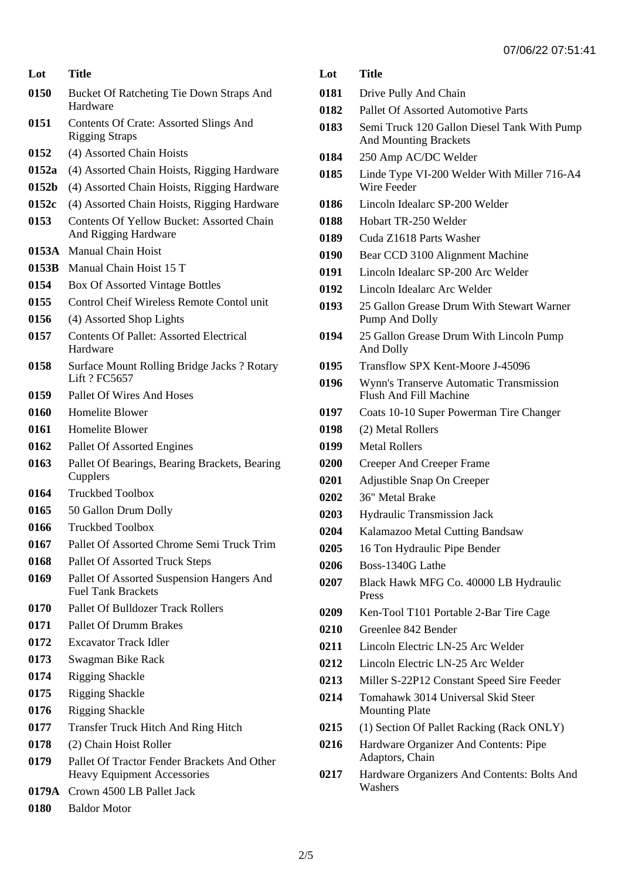| Lot   | Title                                                                             |
|-------|-----------------------------------------------------------------------------------|
| 0150  | Bucket Of Ratcheting Tie Down Straps And<br>Hardware                              |
| 0151  | Contents Of Crate: Assorted Slings And<br><b>Rigging Straps</b>                   |
| 0152  | (4) Assorted Chain Hoists                                                         |
| 0152a | (4) Assorted Chain Hoists, Rigging Hardware                                       |
| 0152b | (4) Assorted Chain Hoists, Rigging Hardware                                       |
| 0152c | (4) Assorted Chain Hoists, Rigging Hardware                                       |
| 0153  | <b>Contents Of Yellow Bucket: Assorted Chain</b><br>And Rigging Hardware          |
| 0153A | <b>Manual Chain Hoist</b>                                                         |
| 0153B | Manual Chain Hoist 15 T                                                           |
| 0154  | <b>Box Of Assorted Vintage Bottles</b>                                            |
| 0155  | Control Cheif Wireless Remote Contol unit                                         |
| 0156  | (4) Assorted Shop Lights                                                          |
| 0157  | <b>Contents Of Pallet: Assorted Electrical</b><br>Hardware                        |
| 0158  | Surface Mount Rolling Bridge Jacks ? Rotary<br>Lift ? FC5657                      |
| 0159  | Pallet Of Wires And Hoses                                                         |
| 0160  | <b>Homelite Blower</b>                                                            |
| 0161  | Homelite Blower                                                                   |
| 0162  | Pallet Of Assorted Engines                                                        |
| 0163  | Pallet Of Bearings, Bearing Brackets, Bearing<br>Cupplers                         |
| 0164  | <b>Truckbed Toolbox</b>                                                           |
| 0165  | 50 Gallon Drum Dolly                                                              |
| 0166  | <b>Truckbed Toolbox</b>                                                           |
| 0167  | Pallet Of Assorted Chrome Semi Truck Trim                                         |
| 0168  | Pallet Of Assorted Truck Steps                                                    |
| 0169  | Pallet Of Assorted Suspension Hangers And<br><b>Fuel Tank Brackets</b>            |
| 0170  | <b>Pallet Of Bulldozer Track Rollers</b>                                          |
| 0171  | <b>Pallet Of Drumm Brakes</b>                                                     |
| 0172  | <b>Excavator Track Idler</b>                                                      |
| 0173  | Swagman Bike Rack                                                                 |
| 0174  | <b>Rigging Shackle</b>                                                            |
| 0175  | <b>Rigging Shackle</b>                                                            |
| 0176  | <b>Rigging Shackle</b>                                                            |
| 0177  | <b>Transfer Truck Hitch And Ring Hitch</b>                                        |
| 0178  | (2) Chain Hoist Roller                                                            |
| 0179  | Pallet Of Tractor Fender Brackets And Other<br><b>Heavy Equipment Accessories</b> |
| 0179A | Crown 4500 LB Pallet Jack                                                         |
| 0180  | <b>Baldor Motor</b>                                                               |

| 0181 | Drive Pully And Chain                                                       |
|------|-----------------------------------------------------------------------------|
| 0182 | Pallet Of Assorted Automotive Parts                                         |
| 0183 | Semi Truck 120 Gallon Diesel Tank With Pump<br><b>And Mounting Brackets</b> |
| 0184 | 250 Amp AC/DC Welder                                                        |
| 0185 | Linde Type VI-200 Welder With Miller 716-A4<br>Wire Feeder                  |
| 0186 | Lincoln Idealarc SP-200 Welder                                              |
| 0188 | Hobart TR-250 Welder                                                        |
| 0189 | Cuda Z1618 Parts Washer                                                     |
| 0190 | Bear CCD 3100 Alignment Machine                                             |
| 0191 | Lincoln Idealarc SP-200 Arc Welder                                          |
| 0192 | Lincoln Idealarc Arc Welder                                                 |
| 0193 | 25 Gallon Grease Drum With Stewart Warner<br>Pump And Dolly                 |
| 0194 | 25 Gallon Grease Drum With Lincoln Pump<br>And Dolly                        |
| 0195 | Transflow SPX Kent-Moore J-45096                                            |
| 0196 | Wynn's Transerve Automatic Transmission<br><b>Flush And Fill Machine</b>    |
| 0197 | Coats 10-10 Super Powerman Tire Changer                                     |
| 0198 | (2) Metal Rollers                                                           |
| 0199 | <b>Metal Rollers</b>                                                        |
| 0200 | Creeper And Creeper Frame                                                   |
| 0201 | Adjustible Snap On Creeper                                                  |
| 0202 | 36" Metal Brake                                                             |
| 0203 | <b>Hydraulic Transmission Jack</b>                                          |
| 0204 | Kalamazoo Metal Cutting Bandsaw                                             |
| 0205 | 16 Ton Hydraulic Pipe Bender                                                |
| 0206 | Boss-1340G Lathe                                                            |
| 0207 | Black Hawk MFG Co. 40000 LB Hydraulic<br>Press                              |
| 0209 | Ken-Tool T101 Portable 2-Bar Tire Cage                                      |
| 0210 | Greenlee 842 Bender                                                         |
| 0211 | Lincoln Electric LN-25 Arc Welder                                           |
| 0212 | Lincoln Electric LN-25 Arc Welder                                           |
| 0213 | Miller S-22P12 Constant Speed Sire Feeder                                   |
| 0214 | Tomahawk 3014 Universal Skid Steer<br><b>Mounting Plate</b>                 |
| 0215 | (1) Section Of Pallet Racking (Rack ONLY)                                   |
| 0216 | Hardware Organizer And Contents: Pipe<br>Adaptors, Chain                    |
| 0217 | Hardware Organizers And Contents: Bolts And<br>Washers                      |

**Lot Title**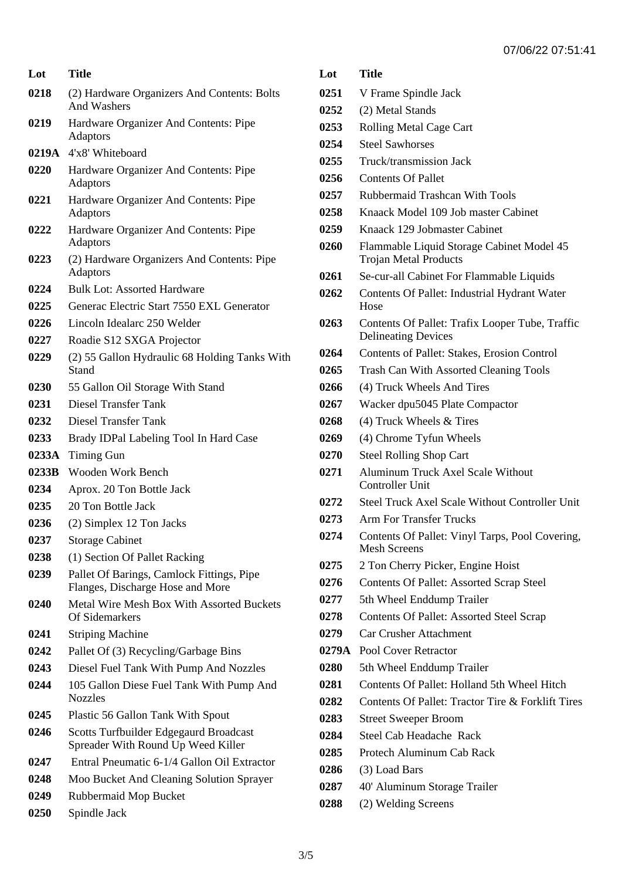| Lot   | Title                                                                         |
|-------|-------------------------------------------------------------------------------|
| 0218  | (2) Hardware Organizers And Contents: Bolts<br>And Washers                    |
| 0219  | Hardware Organizer And Contents: Pipe<br>Adaptors                             |
|       | 0219A 4'x8' Whiteboard                                                        |
| 0220  | Hardware Organizer And Contents: Pipe<br><b>Adaptors</b>                      |
| 0221  | Hardware Organizer And Contents: Pipe<br>Adaptors                             |
| 0222  | Hardware Organizer And Contents: Pipe<br><b>Adaptors</b>                      |
| 0223  | (2) Hardware Organizers And Contents: Pipe<br><b>Adaptors</b>                 |
| 0224  | <b>Bulk Lot: Assorted Hardware</b>                                            |
| 0225  | Generac Electric Start 7550 EXL Generator                                     |
| 0226  | Lincoln Idealarc 250 Welder                                                   |
| 0227  | Roadie S12 SXGA Projector                                                     |
| 0229  | (2) 55 Gallon Hydraulic 68 Holding Tanks With<br>Stand                        |
| 0230  | 55 Gallon Oil Storage With Stand                                              |
| 0231  | <b>Diesel Transfer Tank</b>                                                   |
| 0232  | <b>Diesel Transfer Tank</b>                                                   |
| 0233  | Brady IDPal Labeling Tool In Hard Case                                        |
| 0233A | Timing Gun                                                                    |
| 0233B | Wooden Work Bench                                                             |
| 0234  | Aprox. 20 Ton Bottle Jack                                                     |
| 0235  | 20 Ton Bottle Jack                                                            |
| 0236  | (2) Simplex 12 Ton Jacks                                                      |
| 0237  | <b>Storage Cabinet</b>                                                        |
| 0238  | (1) Section Of Pallet Racking                                                 |
| 0239  | Pallet Of Barings, Camlock Fittings, Pipe<br>Flanges, Discharge Hose and More |
| 0240  | <b>Metal Wire Mesh Box With Assorted Buckets</b><br>Of Sidemarkers            |
| 0241  | <b>Striping Machine</b>                                                       |
| 0242  | Pallet Of (3) Recycling/Garbage Bins                                          |
| 0243  | Diesel Fuel Tank With Pump And Nozzles                                        |
| 0244  | 105 Gallon Diese Fuel Tank With Pump And<br><b>Nozzles</b>                    |
| 0245  | Plastic 56 Gallon Tank With Spout                                             |
| 0246  | Scotts Turfbuilder Edgegaurd Broadcast<br>Spreader With Round Up Weed Killer  |
| 0247  | Entral Pneumatic 6-1/4 Gallon Oil Extractor                                   |
| 0248  | Moo Bucket And Cleaning Solution Sprayer                                      |
| 0249  | Rubbermaid Mop Bucket                                                         |
| 0250  | Spindle Jack                                                                  |

## **Lot Title**

- V Frame Spindle Jack
- (2) Metal Stands
- Rolling Metal Cage Cart
- Steel Sawhorses
- Truck/transmission Jack
- Contents Of Pallet
- Rubbermaid Trashcan With Tools
- Knaack Model 109 Job master Cabinet
- Knaack 129 Jobmaster Cabinet
- Flammable Liquid Storage Cabinet Model 45 Trojan Metal Products
- Se-cur-all Cabinet For Flammable Liquids
- Contents Of Pallet: Industrial Hydrant Water Hose
- Contents Of Pallet: Trafix Looper Tube, Traffic Delineating Devices
- Contents of Pallet: Stakes, Erosion Control
- Trash Can With Assorted Cleaning Tools
- (4) Truck Wheels And Tires
- Wacker dpu5045 Plate Compactor
- (4) Truck Wheels & Tires
- (4) Chrome Tyfun Wheels
- Steel Rolling Shop Cart
- Aluminum Truck Axel Scale Without Controller Unit
- Steel Truck Axel Scale Without Controller Unit
- Arm For Transfer Trucks
- Contents Of Pallet: Vinyl Tarps, Pool Covering, Mesh Screens
- 2 Ton Cherry Picker, Engine Hoist
- Contents Of Pallet: Assorted Scrap Steel
- 5th Wheel Enddump Trailer
- Contents Of Pallet: Assorted Steel Scrap
- Car Crusher Attachment
- **0279A** Pool Cover Retractor
- 5th Wheel Enddump Trailer
- Contents Of Pallet: Holland 5th Wheel Hitch
- Contents Of Pallet: Tractor Tire & Forklift Tires
- Street Sweeper Broom
- Steel Cab Headache Rack
- Protech Aluminum Cab Rack
- (3) Load Bars
- 40' Aluminum Storage Trailer
- (2) Welding Screens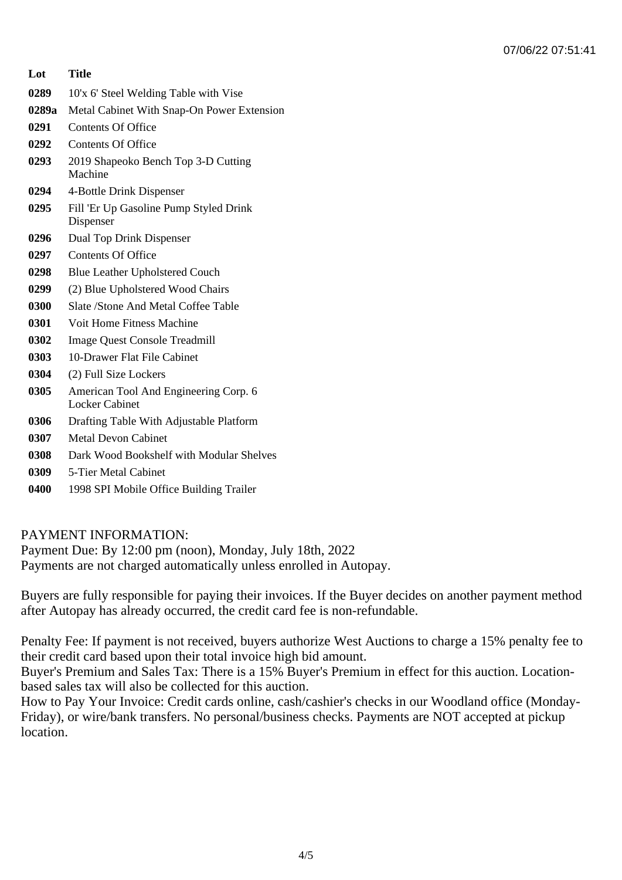| Lot   | <b>Title</b>                                                   |
|-------|----------------------------------------------------------------|
| 0289  | 10'x 6' Steel Welding Table with Vise                          |
| 0289a | Metal Cabinet With Snap-On Power Extension                     |
| 0291  | <b>Contents Of Office</b>                                      |
| 0292  | <b>Contents Of Office</b>                                      |
| 0293  | 2019 Shapeoko Bench Top 3-D Cutting<br>Machine                 |
| 0294  | 4-Bottle Drink Dispenser                                       |
| 0295  | Fill 'Er Up Gasoline Pump Styled Drink<br>Dispenser            |
| 0296  | Dual Top Drink Dispenser                                       |
| 0297  | <b>Contents Of Office</b>                                      |
| 0298  | <b>Blue Leather Upholstered Couch</b>                          |
| 0299  | (2) Blue Upholstered Wood Chairs                               |
| 0300  | Slate /Stone And Metal Coffee Table                            |
| 0301  | Voit Home Fitness Machine                                      |
| 0302  | <b>Image Quest Console Treadmill</b>                           |
| 0303  | 10-Drawer Flat File Cabinet                                    |
| 0304  | (2) Full Size Lockers                                          |
| 0305  | American Tool And Engineering Corp. 6<br><b>Locker Cabinet</b> |
| 0306  | Drafting Table With Adjustable Platform                        |
| 0307  | <b>Metal Devon Cabinet</b>                                     |
| 0308  | Dark Wood Bookshelf with Modular Shelves                       |
| 0309  | 5-Tier Metal Cabinet                                           |
| 0400  | 1998 SPI Mobile Office Building Trailer                        |

PAYMENT INFORMATION:

Payment Due: By 12:00 pm (noon), Monday, July 18th, 2022 Payments are not charged automatically unless enrolled in Autopay.

Buyers are fully responsible for paying their invoices. If the Buyer decides on another payment method after Autopay has already occurred, the credit card fee is non-refundable.

Penalty Fee: If payment is not received, buyers authorize West Auctions to charge a 15% penalty fee to their credit card based upon their total invoice high bid amount.

Buyer's Premium and Sales Tax: There is a 15% Buyer's Premium in effect for this auction. Locationbased sales tax will also be collected for this auction.

How to Pay Your Invoice: Credit cards online, cash/cashier's checks in our Woodland office (Monday-Friday), or wire/bank transfers. No personal/business checks. Payments are NOT accepted at pickup location.